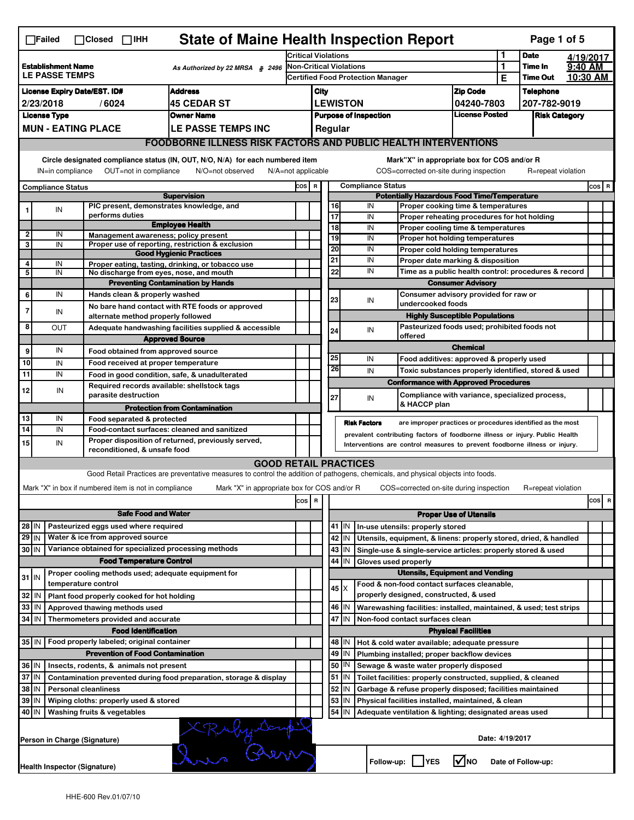|                                                                                                | <b>State of Maine Health Inspection Report</b><br>Page 1 of 5<br>$\Box$ Failed<br>$\Box$ Closed $\Box$ IHH                                                                |                              |                                                       |                                                                                                                                   |                                                                            |                                                                                                                          |                                                                   |                       |                          |              |                                                                                        |                            |                 |                    |         |       |
|------------------------------------------------------------------------------------------------|---------------------------------------------------------------------------------------------------------------------------------------------------------------------------|------------------------------|-------------------------------------------------------|-----------------------------------------------------------------------------------------------------------------------------------|----------------------------------------------------------------------------|--------------------------------------------------------------------------------------------------------------------------|-------------------------------------------------------------------|-----------------------|--------------------------|--------------|----------------------------------------------------------------------------------------|----------------------------|-----------------|--------------------|---------|-------|
| <b>Establishment Name</b><br>As Authorized by 22 MRSA § 2496<br><b>LE PASSE TEMPS</b>          |                                                                                                                                                                           |                              | <b>Critical Violations</b>                            |                                                                                                                                   |                                                                            |                                                                                                                          | 1                                                                 | <b>Date</b>           |                          | 4/19/2017    |                                                                                        |                            |                 |                    |         |       |
|                                                                                                |                                                                                                                                                                           |                              | <b>Non-Critical Violations</b>                        |                                                                                                                                   |                                                                            |                                                                                                                          |                                                                   | 1                     | Time In                  | 9:40 AM      |                                                                                        |                            |                 |                    |         |       |
|                                                                                                |                                                                                                                                                                           |                              |                                                       |                                                                                                                                   | Certified Food Protection Manager                                          |                                                                                                                          |                                                                   |                       |                          | Е            | <b>Time Out</b>                                                                        |                            | 10:30 AM        |                    |         |       |
| <b>Address</b><br><b>License Expiry Date/EST. ID#</b>                                          |                                                                                                                                                                           |                              |                                                       |                                                                                                                                   |                                                                            | <b>Zip Code</b><br>City                                                                                                  |                                                                   |                       |                          |              | <b>Telephone</b>                                                                       |                            |                 |                    |         |       |
| <b>45 CEDAR ST</b><br>2/23/2018<br>/6024<br><b>Owner Name</b>                                  |                                                                                                                                                                           |                              |                                                       |                                                                                                                                   |                                                                            | <b>LEWISTON</b><br>04240-7803<br><b>License Posted</b><br><b>Purpose of Inspection</b>                                   |                                                                   |                       |                          | 207-782-9019 |                                                                                        |                            |                 |                    |         |       |
| <b>License Type</b><br><b>MUN - EATING PLACE</b><br>LE PASSE TEMPS INC                         |                                                                                                                                                                           |                              |                                                       |                                                                                                                                   |                                                                            | <b>Risk Category</b><br>Regular                                                                                          |                                                                   |                       |                          |              |                                                                                        |                            |                 |                    |         |       |
|                                                                                                |                                                                                                                                                                           |                              |                                                       |                                                                                                                                   |                                                                            |                                                                                                                          |                                                                   |                       |                          |              |                                                                                        |                            |                 |                    |         |       |
|                                                                                                | FOODBORNE ILLNESS RISK FACTORS AND PUBLIC HEALTH INTERVENTIONS                                                                                                            |                              |                                                       |                                                                                                                                   |                                                                            |                                                                                                                          |                                                                   |                       |                          |              |                                                                                        |                            |                 |                    |         |       |
|                                                                                                | Circle designated compliance status (IN, OUT, N/O, N/A) for each numbered item<br>OUT=not in compliance<br>N/O=not observed<br>IN=in compliance<br>$N/A = not$ applicable |                              |                                                       |                                                                                                                                   |                                                                            |                                                                                                                          |                                                                   |                       |                          |              | Mark"X" in appropriate box for COS and/or R<br>COS=corrected on-site during inspection |                            |                 | R=repeat violation |         |       |
| <b>Compliance Status</b>                                                                       |                                                                                                                                                                           |                              |                                                       | COS R                                                                                                                             |                                                                            |                                                                                                                          |                                                                   |                       | <b>Compliance Status</b> |              |                                                                                        |                            |                 |                    | $cos$ R |       |
|                                                                                                |                                                                                                                                                                           |                              |                                                       | <b>Supervision</b>                                                                                                                |                                                                            |                                                                                                                          |                                                                   |                       |                          |              | <b>Potentially Hazardous Food Time/Temperature</b>                                     |                            |                 |                    |         |       |
| 1                                                                                              | IN                                                                                                                                                                        |                              | performs duties                                       | PIC present, demonstrates knowledge, and                                                                                          |                                                                            |                                                                                                                          |                                                                   | 16<br>$\overline{17}$ |                          | IN<br>IN     | Proper cooking time & temperatures<br>Proper reheating procedures for hot holding      |                            |                 |                    |         |       |
|                                                                                                |                                                                                                                                                                           |                              |                                                       | <b>Employee Health</b>                                                                                                            |                                                                            |                                                                                                                          |                                                                   | $\overline{18}$       |                          | IN           | Proper cooling time & temperatures                                                     |                            |                 |                    |         |       |
| 2<br>3                                                                                         | IN<br>IN                                                                                                                                                                  |                              |                                                       | Management awareness; policy present<br>Proper use of reporting, restriction & exclusion                                          |                                                                            |                                                                                                                          |                                                                   | 19                    |                          | IN           | Proper hot holding temperatures                                                        |                            |                 |                    |         |       |
|                                                                                                |                                                                                                                                                                           |                              |                                                       | <b>Good Hygienic Practices</b>                                                                                                    |                                                                            |                                                                                                                          |                                                                   | 20                    |                          | IN           | Proper cold holding temperatures                                                       |                            |                 |                    |         |       |
| 4                                                                                              | IN                                                                                                                                                                        |                              |                                                       | Proper eating, tasting, drinking, or tobacco use                                                                                  |                                                                            |                                                                                                                          |                                                                   | 21                    |                          | IN           | Proper date marking & disposition                                                      |                            |                 |                    |         |       |
| 5                                                                                              | IN                                                                                                                                                                        |                              |                                                       | No discharge from eyes, nose, and mouth                                                                                           |                                                                            |                                                                                                                          |                                                                   | 22                    |                          | IN           | Time as a public health control: procedures & record                                   |                            |                 |                    |         |       |
|                                                                                                | IN                                                                                                                                                                        |                              | Hands clean & properly washed                         | <b>Preventing Contamination by Hands</b>                                                                                          |                                                                            |                                                                                                                          | <b>Consumer Advisory</b><br>Consumer advisory provided for raw or |                       |                          |              |                                                                                        |                            |                 |                    |         |       |
| 6                                                                                              |                                                                                                                                                                           |                              |                                                       | No bare hand contact with RTE foods or approved                                                                                   |                                                                            |                                                                                                                          |                                                                   | 23                    |                          | IN           | undercooked foods                                                                      |                            |                 |                    |         |       |
| $\overline{7}$                                                                                 | IN                                                                                                                                                                        |                              | alternate method properly followed                    |                                                                                                                                   |                                                                            |                                                                                                                          |                                                                   |                       |                          |              | <b>Highly Susceptible Populations</b>                                                  |                            |                 |                    |         |       |
| 8                                                                                              | <b>OUT</b>                                                                                                                                                                |                              |                                                       | Adequate handwashing facilities supplied & accessible                                                                             |                                                                            |                                                                                                                          |                                                                   | 24                    |                          | IN           | Pasteurized foods used; prohibited foods not                                           |                            |                 |                    |         |       |
|                                                                                                |                                                                                                                                                                           |                              |                                                       | <b>Approved Source</b>                                                                                                            |                                                                            |                                                                                                                          |                                                                   |                       |                          |              | offered                                                                                | <b>Chemical</b>            |                 |                    |         |       |
| 9                                                                                              | IN                                                                                                                                                                        |                              | Food obtained from approved source                    |                                                                                                                                   |                                                                            |                                                                                                                          |                                                                   | 25                    |                          | IN           | Food additives: approved & properly used                                               |                            |                 |                    |         |       |
| 10                                                                                             | IN                                                                                                                                                                        |                              | Food received at proper temperature                   |                                                                                                                                   |                                                                            |                                                                                                                          |                                                                   | 26                    |                          | IN           | Toxic substances properly identified, stored & used                                    |                            |                 |                    |         |       |
| 11                                                                                             | IN                                                                                                                                                                        |                              |                                                       | Food in good condition, safe, & unadulterated                                                                                     |                                                                            |                                                                                                                          |                                                                   |                       |                          |              | <b>Conformance with Approved Procedures</b>                                            |                            |                 |                    |         |       |
| 12                                                                                             | IN                                                                                                                                                                        |                              | parasite destruction                                  | Required records available: shellstock tags                                                                                       |                                                                            |                                                                                                                          |                                                                   | 27                    |                          | IN           | Compliance with variance, specialized process,                                         |                            |                 |                    |         |       |
|                                                                                                |                                                                                                                                                                           |                              |                                                       | <b>Protection from Contamination</b>                                                                                              |                                                                            |                                                                                                                          |                                                                   |                       |                          |              | & HACCP plan                                                                           |                            |                 |                    |         |       |
| 13                                                                                             | IN                                                                                                                                                                        |                              | Food separated & protected                            |                                                                                                                                   |                                                                            |                                                                                                                          |                                                                   |                       | <b>Risk Factors</b>      |              | are improper practices or procedures identified as the most                            |                            |                 |                    |         |       |
| $\overline{14}$                                                                                | IN                                                                                                                                                                        |                              |                                                       | Food-contact surfaces: cleaned and sanitized                                                                                      |                                                                            |                                                                                                                          |                                                                   |                       |                          |              | prevalent contributing factors of foodborne illness or injury. Public Health           |                            |                 |                    |         |       |
| Proper disposition of returned, previously served,<br>15<br>IN<br>reconditioned, & unsafe food |                                                                                                                                                                           |                              |                                                       |                                                                                                                                   |                                                                            | Interventions are control measures to prevent foodborne illness or injury.                                               |                                                                   |                       |                          |              |                                                                                        |                            |                 |                    |         |       |
|                                                                                                |                                                                                                                                                                           |                              |                                                       | <b>GOOD RETAIL PRACTICES</b>                                                                                                      |                                                                            |                                                                                                                          |                                                                   |                       |                          |              |                                                                                        |                            |                 |                    |         |       |
|                                                                                                |                                                                                                                                                                           |                              |                                                       | Good Retail Practices are preventative measures to control the addition of pathogens, chemicals, and physical objects into foods. |                                                                            |                                                                                                                          |                                                                   |                       |                          |              |                                                                                        |                            |                 |                    |         |       |
|                                                                                                |                                                                                                                                                                           |                              | Mark "X" in box if numbered item is not in compliance | Mark "X" in appropriate box for COS and/or R                                                                                      |                                                                            |                                                                                                                          |                                                                   |                       |                          |              | COS=corrected on-site during inspection                                                |                            |                 | R=repeat violation |         |       |
|                                                                                                |                                                                                                                                                                           |                              |                                                       |                                                                                                                                   | cos R                                                                      |                                                                                                                          |                                                                   |                       |                          |              |                                                                                        |                            |                 |                    |         | cos R |
|                                                                                                |                                                                                                                                                                           |                              | <b>Safe Food and Water</b>                            |                                                                                                                                   |                                                                            |                                                                                                                          | <b>Proper Use of Utensils</b>                                     |                       |                          |              |                                                                                        |                            |                 |                    |         |       |
| $28$ IN                                                                                        |                                                                                                                                                                           |                              | Pasteurized eggs used where required                  |                                                                                                                                   |                                                                            |                                                                                                                          |                                                                   | $41$ M                |                          |              | In-use utensils: properly stored                                                       |                            |                 |                    |         |       |
| $29$ IN                                                                                        |                                                                                                                                                                           |                              | Water & ice from approved source                      |                                                                                                                                   |                                                                            |                                                                                                                          |                                                                   | 42<br>IN              |                          |              | Utensils, equipment, & linens: properly stored, dried, & handled                       |                            |                 |                    |         |       |
| $30$ IN                                                                                        |                                                                                                                                                                           |                              |                                                       | Variance obtained for specialized processing methods                                                                              |                                                                            |                                                                                                                          |                                                                   | 43<br>IN.             |                          |              | Single-use & single-service articles: properly stored & used                           |                            |                 |                    |         |       |
|                                                                                                |                                                                                                                                                                           |                              | <b>Food Temperature Control</b>                       |                                                                                                                                   |                                                                            |                                                                                                                          | 44<br>IN<br>Gloves used properly                                  |                       |                          |              |                                                                                        |                            |                 |                    |         |       |
| $31$ IN                                                                                        |                                                                                                                                                                           | temperature control          |                                                       | Proper cooling methods used; adequate equipment for                                                                               |                                                                            |                                                                                                                          |                                                                   |                       |                          |              | <b>Utensils, Equipment and Vending</b><br>Food & non-food contact surfaces cleanable,  |                            |                 |                    |         |       |
| 32                                                                                             | IN                                                                                                                                                                        |                              | Plant food properly cooked for hot holding            |                                                                                                                                   |                                                                            |                                                                                                                          |                                                                   | $45 \times$           |                          |              | properly designed, constructed, & used                                                 |                            |                 |                    |         |       |
| 33                                                                                             | IN                                                                                                                                                                        |                              | Approved thawing methods used                         |                                                                                                                                   |                                                                            |                                                                                                                          |                                                                   | 46<br>ΙM              |                          |              | Warewashing facilities: installed, maintained, & used; test strips                     |                            |                 |                    |         |       |
| 34                                                                                             | l IN                                                                                                                                                                      |                              | Thermometers provided and accurate                    |                                                                                                                                   |                                                                            |                                                                                                                          |                                                                   | 47<br>İIN             |                          |              | Non-food contact surfaces clean                                                        |                            |                 |                    |         |       |
|                                                                                                |                                                                                                                                                                           |                              | <b>Food Identification</b>                            |                                                                                                                                   |                                                                            |                                                                                                                          |                                                                   |                       |                          |              |                                                                                        | <b>Physical Facilities</b> |                 |                    |         |       |
|                                                                                                | 35 IN<br>Food properly labeled; original container<br>48   IN<br>Hot & cold water available; adequate pressure                                                            |                              |                                                       |                                                                                                                                   |                                                                            |                                                                                                                          |                                                                   |                       |                          |              |                                                                                        |                            |                 |                    |         |       |
|                                                                                                |                                                                                                                                                                           |                              | <b>Prevention of Food Contamination</b>               |                                                                                                                                   |                                                                            |                                                                                                                          |                                                                   | 49<br>IN              |                          |              | Plumbing installed; proper backflow devices                                            |                            |                 |                    |         |       |
|                                                                                                | 36 IN<br>Insects, rodents, & animals not present                                                                                                                          |                              |                                                       |                                                                                                                                   |                                                                            |                                                                                                                          | 50<br>ΙN<br>Sewage & waste water properly disposed                |                       |                          |              |                                                                                        |                            |                 |                    |         |       |
| 37 IN<br>Contamination prevented during food preparation, storage & display                    |                                                                                                                                                                           |                              |                                                       |                                                                                                                                   | 51<br>  IN<br>Toilet facilities: properly constructed, supplied, & cleaned |                                                                                                                          |                                                                   |                       |                          |              |                                                                                        |                            |                 |                    |         |       |
| 38<br>  IN<br><b>Personal cleanliness</b>                                                      |                                                                                                                                                                           |                              |                                                       |                                                                                                                                   | 52<br>IN<br>Garbage & refuse properly disposed; facilities maintained      |                                                                                                                          |                                                                   |                       |                          |              |                                                                                        |                            |                 |                    |         |       |
| 39<br>  IN<br>Wiping cloths: properly used & stored<br>40 IN<br>Washing fruits & vegetables    |                                                                                                                                                                           |                              |                                                       |                                                                                                                                   |                                                                            | 53<br>IN<br>Physical facilities installed, maintained, & clean<br>Adequate ventilation & lighting; designated areas used |                                                                   |                       |                          |              |                                                                                        |                            |                 |                    |         |       |
|                                                                                                |                                                                                                                                                                           |                              |                                                       |                                                                                                                                   |                                                                            |                                                                                                                          |                                                                   | $54$   IN             |                          |              |                                                                                        |                            |                 |                    |         |       |
|                                                                                                |                                                                                                                                                                           | Person in Charge (Signature) |                                                       | In Ber                                                                                                                            |                                                                            |                                                                                                                          |                                                                   |                       |                          |              |                                                                                        |                            | Date: 4/19/2017 |                    |         |       |
|                                                                                                |                                                                                                                                                                           | Health Inspector (Signature) |                                                       |                                                                                                                                   |                                                                            |                                                                                                                          |                                                                   |                       |                          | Follow-up:   | <b>IYES</b>                                                                            | l√lno                      |                 | Date of Follow-up: |         |       |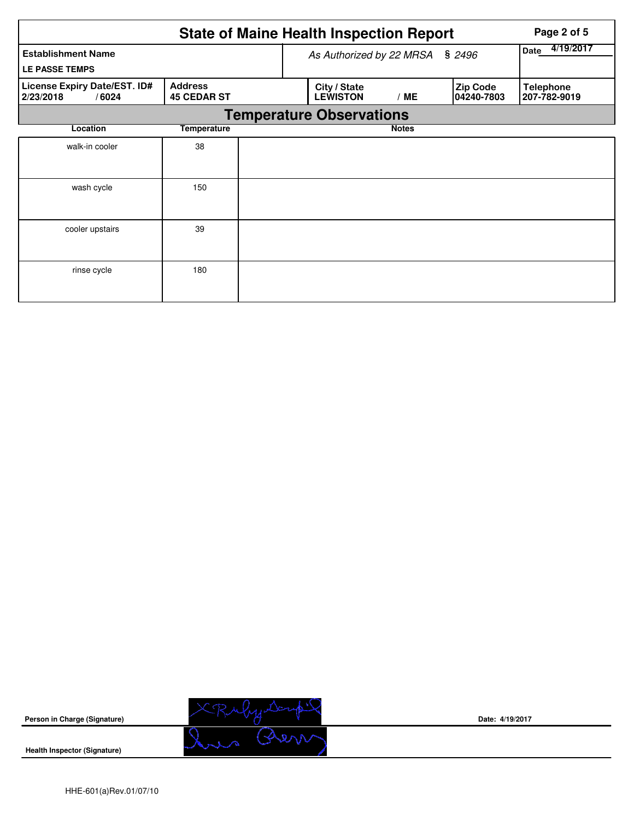|                                                    | Page 2 of 5                          |                                 |              |                                |                                  |
|----------------------------------------------------|--------------------------------------|---------------------------------|--------------|--------------------------------|----------------------------------|
| <b>Establishment Name</b><br><b>LE PASSE TEMPS</b> | As Authorized by 22 MRSA § 2496      | 4/19/2017<br>Date               |              |                                |                                  |
| License Expiry Date/EST. ID#<br>2/23/2018<br>/6024 | <b>Address</b><br><b>45 CEDAR ST</b> | City / State<br><b>LEWISTON</b> | /ME          | <b>Zip Code</b><br> 04240-7803 | <b>Telephone</b><br>207-782-9019 |
|                                                    |                                      | <b>Temperature Observations</b> |              |                                |                                  |
| Location                                           | Temperature                          |                                 | <b>Notes</b> |                                |                                  |
| walk-in cooler                                     | 38                                   |                                 |              |                                |                                  |
| wash cycle                                         | 150                                  |                                 |              |                                |                                  |
| cooler upstairs                                    | 39                                   |                                 |              |                                |                                  |
| rinse cycle                                        | 180                                  |                                 |              |                                |                                  |



**Date: 4/19/2017**

**Health Inspector (Signature)**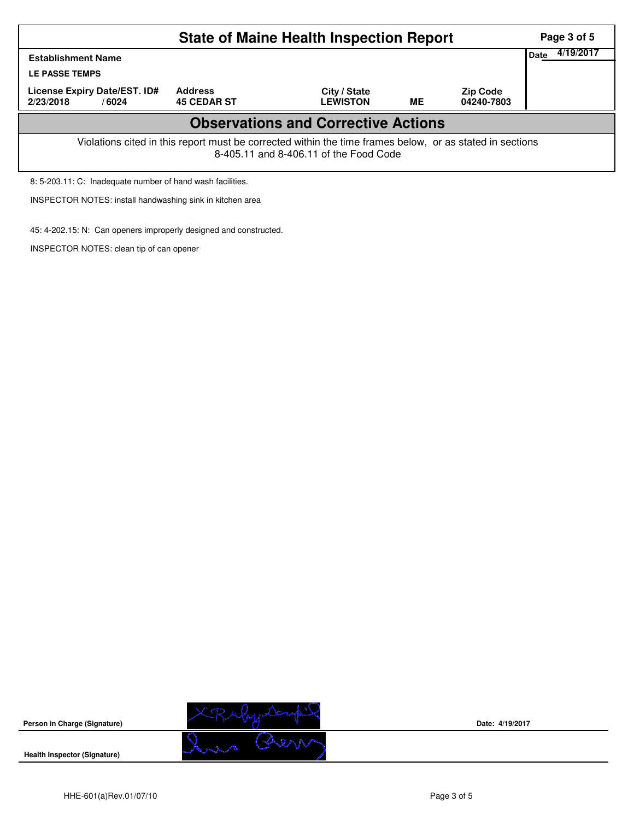| <b>State of Maine Health Inspection Report</b>                                                                                                     |                                      |                                 |    |                               |  |  |  |  |  |  |
|----------------------------------------------------------------------------------------------------------------------------------------------------|--------------------------------------|---------------------------------|----|-------------------------------|--|--|--|--|--|--|
| Date<br><b>Establishment Name</b><br><b>LE PASSE TEMPS</b>                                                                                         |                                      |                                 |    |                               |  |  |  |  |  |  |
| License Expiry Date/EST. ID#<br>2/23/2018<br>/ 6024                                                                                                | <b>Address</b><br><b>45 CEDAR ST</b> | City / State<br><b>LEWISTON</b> | ME | <b>Zip Code</b><br>04240-7803 |  |  |  |  |  |  |
| <b>Observations and Corrective Actions</b>                                                                                                         |                                      |                                 |    |                               |  |  |  |  |  |  |
| Violations cited in this report must be corrected within the time frames below, or as stated in sections<br>8-405.11 and 8-406.11 of the Food Code |                                      |                                 |    |                               |  |  |  |  |  |  |
| 8: 5-203.11: C: Inadequate number of hand wash facilities.                                                                                         |                                      |                                 |    |                               |  |  |  |  |  |  |

INSPECTOR NOTES: install handwashing sink in kitchen area

45: 4-202.15: N: Can openers improperly designed and constructed.

INSPECTOR NOTES: clean tip of can opener



**Date: 4/19/2017**

**Health Inspector (Signature)** 

**Person in Charge (Signature)**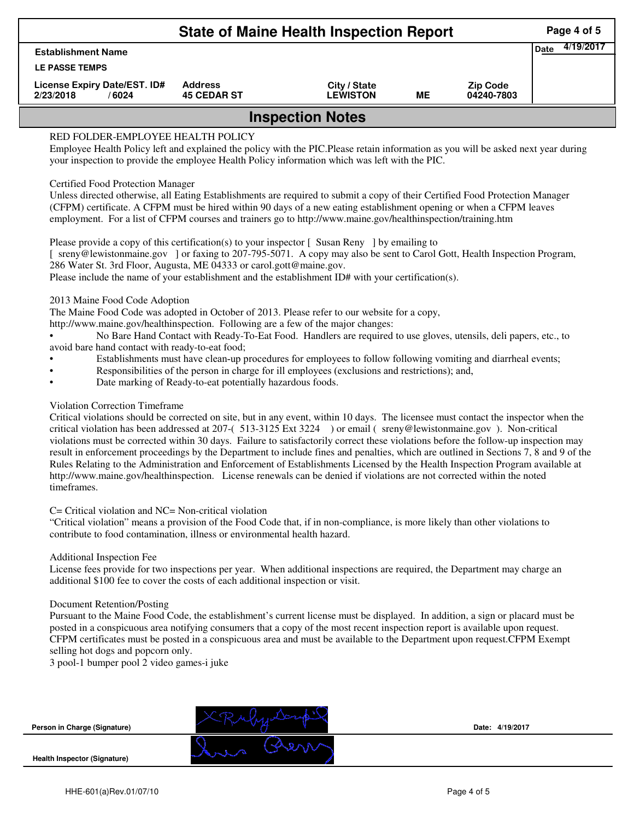| <b>State of Maine Health Inspection Report</b>     |                                      |                                 |    |                               |  |  |  |  |
|----------------------------------------------------|--------------------------------------|---------------------------------|----|-------------------------------|--|--|--|--|
| <b>Establishment Name</b>                          |                                      |                                 |    |                               |  |  |  |  |
| <b>LE PASSE TEMPS</b>                              |                                      |                                 |    |                               |  |  |  |  |
| License Expiry Date/EST. ID#<br>2/23/2018<br>/6024 | <b>Address</b><br><b>45 CEDAR ST</b> | City / State<br><b>LEWISTON</b> | ME | <b>Zip Code</b><br>04240-7803 |  |  |  |  |
| <b>Inspection Notes</b>                            |                                      |                                 |    |                               |  |  |  |  |

# RED FOLDER-EMPLOYEE HEALTH POLICY

Employee Health Policy left and explained the policy with the PIC.Please retain information as you will be asked next year during your inspection to provide the employee Health Policy information which was left with the PIC.

## Certified Food Protection Manager

Unless directed otherwise, all Eating Establishments are required to submit a copy of their Certified Food Protection Manager (CFPM) certificate. A CFPM must be hired within 90 days of a new eating establishment opening or when a CFPM leaves employment. For a list of CFPM courses and trainers go to http://www.maine.gov/healthinspection/training.htm

Please provide a copy of this certification(s) to your inspector [Susan Reny ] by emailing to [ sreny@lewistonmaine.gov ] or faxing to 207-795-5071. A copy may also be sent to Carol Gott, Health Inspection Program, 286 Water St. 3rd Floor, Augusta, ME 04333 or carol.gott@maine.gov.

Please include the name of your establishment and the establishment ID# with your certification(s).

2013 Maine Food Code Adoption

The Maine Food Code was adopted in October of 2013. Please refer to our website for a copy,

http://www.maine.gov/healthinspection. Following are a few of the major changes:

• No Bare Hand Contact with Ready-To-Eat Food. Handlers are required to use gloves, utensils, deli papers, etc., to avoid bare hand contact with ready-to-eat food;

- Establishments must have clean-up procedures for employees to follow following vomiting and diarrheal events;
- Responsibilities of the person in charge for ill employees (exclusions and restrictions); and,
- Date marking of Ready-to-eat potentially hazardous foods.

## Violation Correction Timeframe

Critical violations should be corrected on site, but in any event, within 10 days. The licensee must contact the inspector when the critical violation has been addressed at 207-( 513-3125 Ext 3224 ) or email ( sreny@lewistonmaine.gov ). Non-critical violations must be corrected within 30 days. Failure to satisfactorily correct these violations before the follow-up inspection may result in enforcement proceedings by the Department to include fines and penalties, which are outlined in Sections 7, 8 and 9 of the Rules Relating to the Administration and Enforcement of Establishments Licensed by the Health Inspection Program available at http://www.maine.gov/healthinspection. License renewals can be denied if violations are not corrected within the noted timeframes.

## C= Critical violation and NC= Non-critical violation

"Critical violation" means a provision of the Food Code that, if in non-compliance, is more likely than other violations to contribute to food contamination, illness or environmental health hazard.

#### Additional Inspection Fee

License fees provide for two inspections per year. When additional inspections are required, the Department may charge an additional \$100 fee to cover the costs of each additional inspection or visit.

#### Document Retention/Posting

Pursuant to the Maine Food Code, the establishment's current license must be displayed. In addition, a sign or placard must be posted in a conspicuous area notifying consumers that a copy of the most recent inspection report is available upon request. CFPM certificates must be posted in a conspicuous area and must be available to the Department upon request.CFPM Exempt selling hot dogs and popcorn only.

3 pool-1 bumper pool 2 video games-i juke